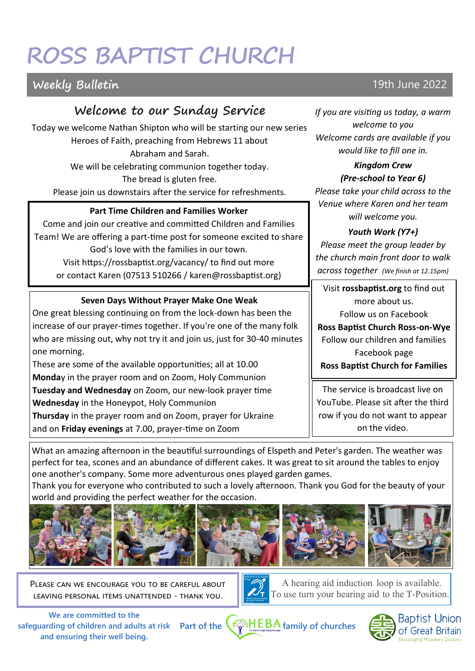# **ROSS BAPTIST CHURCH**

# **Weekly Bulletin 19th June 2022**

# **Welcome to our Sunday Service**

Today we welcome Nathan Shipton who will be starting our new series Heroes of Faith, preaching from Hebrews 11 about Abraham and Sarah. We will be celebrating communion together today. The bread is gluten free.

Please join us downstairs after the service for refreshments.

#### **Part Time Children and Families Worker**

Come and join our creative and committed Children and Families Team! We are offering a part-time post for someone excited to share God's love with the families in our town. Visit https://rossbaptist.org/vacancy/ to find out more or contact Karen (07513 510266 / karen@rossbaptist.org)

#### **Seven Days Without Prayer Make One Weak**

One great blessing continuing on from the lock-down has been the increase of our prayer-times together. If you're one of the many folk who are missing out, why not try it and join us, just for 30-40 minutes one morning.

These are some of the available opportunities; all at 10.00 **Monda**y in the prayer room and on Zoom, Holy Communion **Tuesday and Wednesday** on Zoom, our new-look prayer time **Wednesday** in the Honeypot, Holy Communion **Thursday** in the prayer room and on Zoom, prayer for Ukraine and on **Friday evenings** at 7.00, prayer-time on Zoom

*If you are visiting us today, a warm welcome to you Welcome cards are available if you would like to fill one in.* 

#### *Kingdom Crew (Pre-school to Year 6)*

*Please take your child across to the Venue where Karen and her team will welcome you.*

#### *Youth Work (Y7+)*

*Please meet the group leader by the church main front door to walk across together (We finish at 12.15pm)*

Visit **rossbaptist.org** to find out more about us. Follow us on Facebook

**Ross Baptist Church Ross-on-Wye** Follow our children and families Facebook page **Ross Baptist Church for Families**

The service is broadcast live on YouTube. Please sit after the third row if you do not want to appear on the video.

What an amazing afternoon in the beautiful surroundings of Elspeth and Peter's garden. The weather was perfect for tea, scones and an abundance of different cakes. It was great to sit around the tables to enjoy one another's company. Some more adventurous ones played garden games.

Thank you for everyone who contributed to such a lovely afternoon. Thank you God for the beauty of your world and providing the perfect weather for the occasion.



PLEASE CAN WE ENCOURAGE YOU TO BE CAREFUL ABOUT leaving personal items unattended - thank you.



A hearing aid induction loop is available. To use turn your hearing aid to the T-Position.

**We are committed to the safeguarding of children and adults at risk and ensuring their well being.**



Baptis